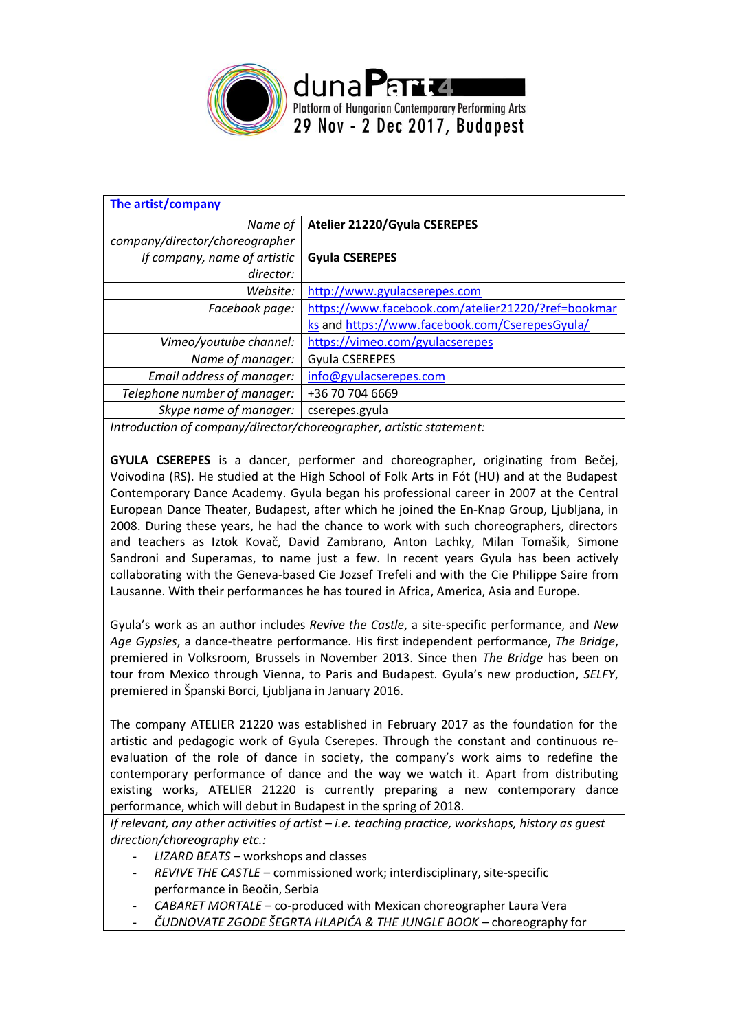

| The artist/company                                                                            |                                                    |  |
|-----------------------------------------------------------------------------------------------|----------------------------------------------------|--|
| Name of                                                                                       | Atelier 21220/Gyula CSEREPES                       |  |
| company/director/choreographer                                                                |                                                    |  |
| If company, name of artistic                                                                  | <b>Gyula CSEREPES</b>                              |  |
| director:                                                                                     |                                                    |  |
| Website:                                                                                      | http://www.gyulacserepes.com                       |  |
| Facebook page:                                                                                | https://www.facebook.com/atelier21220/?ref=bookmar |  |
|                                                                                               | ks and https://www.facebook.com/CserepesGyula/     |  |
| Vimeo/youtube channel:                                                                        | https://vimeo.com/gyulacserepes                    |  |
| Name of manager:                                                                              | <b>Gyula CSEREPES</b>                              |  |
| Email address of manager:                                                                     | info@gyulacserepes.com                             |  |
| Telephone number of manager:                                                                  | +36 70 704 6669                                    |  |
| Skype name of manager:                                                                        | cserepes.gyula                                     |  |
| ta ta cultural de la caractería de l'altres de la fabricación de la constitut de destrucción. |                                                    |  |

*Introduction of company/director/choreographer, artistic statement:*

**GYULA CSEREPES** is a dancer, performer and choreographer, originating from Bečej, Voivodina (RS). He studied at the High School of Folk Arts in Fót (HU) and at the Budapest Contemporary Dance Academy. Gyula began his professional career in 2007 at the Central European Dance Theater, Budapest, after which he joined the En-Knap Group, Ljubljana, in 2008. During these years, he had the chance to work with such choreographers, directors and teachers as Iztok Kovač, David Zambrano, Anton Lachky, Milan Tomašik, Simone Sandroni and Superamas, to name just a few. In recent years Gyula has been actively collaborating with the Geneva-based Cie Jozsef Trefeli and with the Cie Philippe Saire from Lausanne. With their performances he has toured in Africa, America, Asia and Europe.

Gyula's work as an author includes *Revive the Castle*, a site-specific performance, and *New Age Gypsies*, a dance-theatre performance. His first independent performance, *The Bridge*, premiered in Volksroom, Brussels in November 2013. Since then *The Bridge* has been on tour from Mexico through Vienna, to Paris and Budapest. Gyula's new production, *SELFY*, premiered in Španski Borci, Ljubljana in January 2016.

The company ATELIER 21220 was established in February 2017 as the foundation for the artistic and pedagogic work of Gyula Cserepes. Through the constant and continuous reevaluation of the role of dance in society, the company's work aims to redefine the contemporary performance of dance and the way we watch it. Apart from distributing existing works, ATELIER 21220 is currently preparing a new contemporary dance performance, which will debut in Budapest in the spring of 2018.

*If relevant, any other activities of artist – i.e. teaching practice, workshops, history as guest direction/choreography etc.:*

- *- LIZARD BEATS –* workshops and classes
- *- REVIVE THE CASTLE* commissioned work; interdisciplinary, site-specific performance in Beočin, Serbia
- *- CABARET MORTALE*  co-produced with Mexican choreographer Laura Vera
- *- ČUDNOVATE ZGODE ŠEGRTA HLAPIĆA & THE JUNGLE BOOK*  choreography for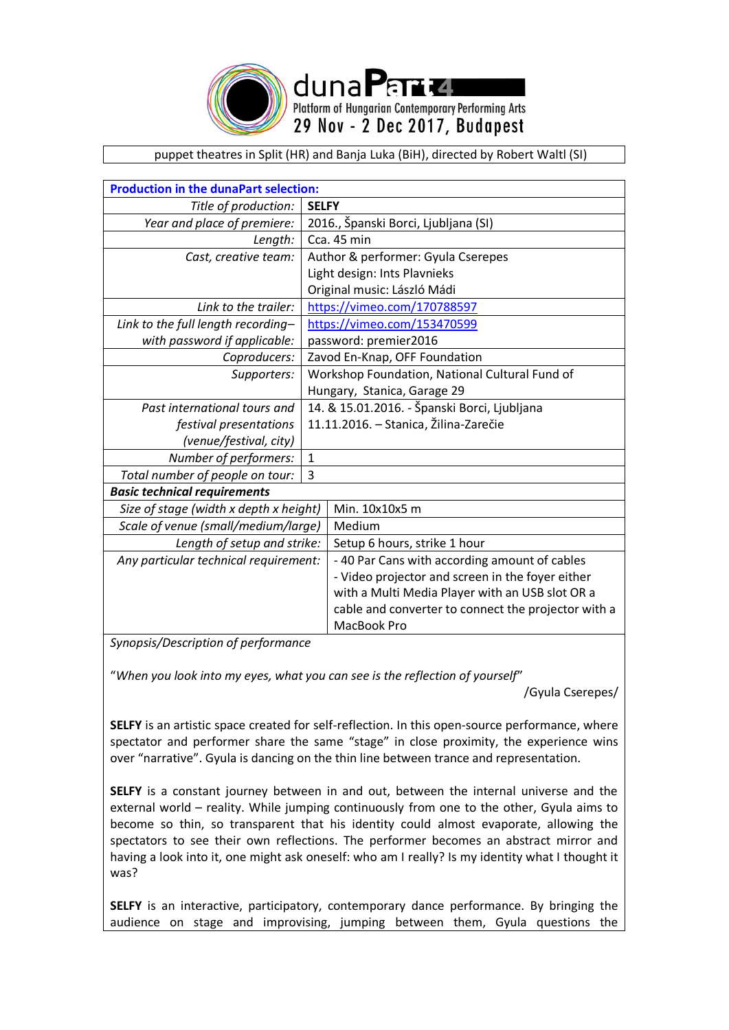

dunaPart Platform of Hungarian Contemporary Performing Arts 29 Nov - 2 Dec 2017, Budapest

puppet theatres in Split (HR) and Banja Luka (BiH), directed by Robert Waltl (SI)

| <b>Production in the dunaPart selection:</b> |                                                     |  |  |  |  |
|----------------------------------------------|-----------------------------------------------------|--|--|--|--|
| Title of production:                         | <b>SELFY</b>                                        |  |  |  |  |
| Year and place of premiere:                  | 2016., Španski Borci, Ljubljana (SI)                |  |  |  |  |
| Length:                                      | Cca. 45 min                                         |  |  |  |  |
| Cast, creative team:                         | Author & performer: Gyula Cserepes                  |  |  |  |  |
|                                              | Light design: Ints Plavnieks                        |  |  |  |  |
|                                              | Original music: László Mádi                         |  |  |  |  |
| Link to the trailer:                         | https://vimeo.com/170788597                         |  |  |  |  |
| Link to the full length recording-           | https://vimeo.com/153470599                         |  |  |  |  |
| with password if applicable:                 | password: premier2016                               |  |  |  |  |
| Coproducers:                                 | Zavod En-Knap, OFF Foundation                       |  |  |  |  |
| Supporters:                                  | Workshop Foundation, National Cultural Fund of      |  |  |  |  |
|                                              | Hungary, Stanica, Garage 29                         |  |  |  |  |
| Past international tours and                 | 14. & 15.01.2016. - Španski Borci, Ljubljana        |  |  |  |  |
| festival presentations                       | 11.11.2016. - Stanica, Žilina-Zarečie               |  |  |  |  |
| (venue/festival, city)                       |                                                     |  |  |  |  |
| Number of performers:                        | $\mathbf{1}$                                        |  |  |  |  |
| Total number of people on tour:              | 3                                                   |  |  |  |  |
| <b>Basic technical requirements</b>          |                                                     |  |  |  |  |
| Size of stage (width x depth x height)       | Min. 10x10x5 m                                      |  |  |  |  |
| Scale of venue (small/medium/large)          | Medium                                              |  |  |  |  |
| Length of setup and strike:                  | Setup 6 hours, strike 1 hour                        |  |  |  |  |
| Any particular technical requirement:        | - 40 Par Cans with according amount of cables       |  |  |  |  |
|                                              | - Video projector and screen in the foyer either    |  |  |  |  |
|                                              | with a Multi Media Player with an USB slot OR a     |  |  |  |  |
|                                              | cable and converter to connect the projector with a |  |  |  |  |
|                                              | MacBook Pro                                         |  |  |  |  |

*Synopsis/Description of performance*

"*When you look into my eyes, what you can see is the reflection of yourself*"

/Gyula Cserepes/

**SELFY** is an artistic space created for self-reflection. In this open-source performance, where spectator and performer share the same "stage" in close proximity, the experience wins over "narrative". Gyula is dancing on the thin line between trance and representation.

**SELFY** is a constant journey between in and out, between the internal universe and the external world – reality. While jumping continuously from one to the other, Gyula aims to become so thin, so transparent that his identity could almost evaporate, allowing the spectators to see their own reflections. The performer becomes an abstract mirror and having a look into it, one might ask oneself: who am I really? Is my identity what I thought it was?

**SELFY** is an interactive, participatory, contemporary dance performance. By bringing the audience on stage and improvising, jumping between them, Gyula questions the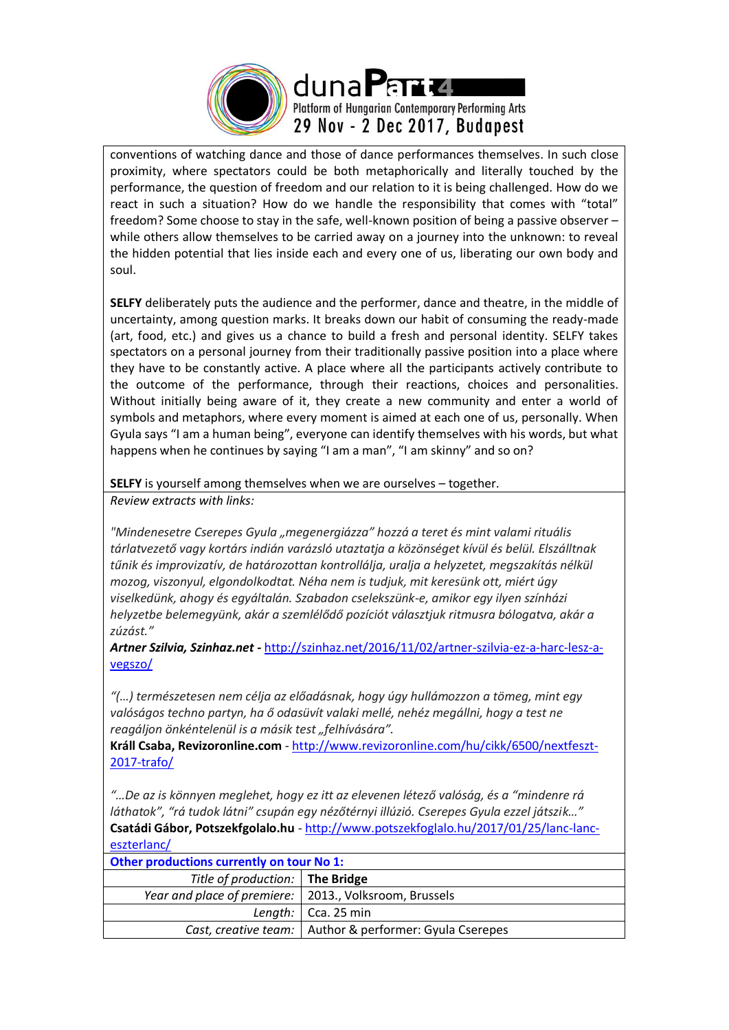

conventions of watching dance and those of dance performances themselves. In such close proximity, where spectators could be both metaphorically and literally touched by the performance, the question of freedom and our relation to it is being challenged. How do we react in such a situation? How do we handle the responsibility that comes with "total" freedom? Some choose to stay in the safe, well-known position of being a passive observer – while others allow themselves to be carried away on a journey into the unknown: to reveal the hidden potential that lies inside each and every one of us, liberating our own body and soul.

**SELFY** deliberately puts the audience and the performer, dance and theatre, in the middle of uncertainty, among question marks. It breaks down our habit of consuming the ready-made (art, food, etc.) and gives us a chance to build a fresh and personal identity. SELFY takes spectators on a personal journey from their traditionally passive position into a place where they have to be constantly active. A place where all the participants actively contribute to the outcome of the performance, through their reactions, choices and personalities. Without initially being aware of it, they create a new community and enter a world of symbols and metaphors, where every moment is aimed at each one of us, personally. When Gyula says "I am a human being", everyone can identify themselves with his words, but what happens when he continues by saying "I am a man", "I am skinny" and so on?

**SELFY** is yourself among themselves when we are ourselves – together. *Review extracts with links:*

*"Mindenesetre Cserepes Gyula "megenergiázza" hozzá a teret és mint valami rituális tárlatvezető vagy kortárs indián varázsló utaztatja a közönséget kívül és belül. Elszálltnak tűnik és improvizatív, de határozottan kontrollálja, uralja a helyzetet, megszakítás nélkül mozog, viszonyul, elgondolkodtat. Néha nem is tudjuk, mit keresünk ott, miért úgy viselkedünk, ahogy és egyáltalán. Szabadon cselekszünk-e, amikor egy ilyen színházi helyzetbe belemegyünk, akár a szemlélődő pozíciót választjuk ritmusra bólogatva, akár a zúzást."*

*Artner Szilvia, Szinhaz.net -* [http://szinhaz.net/2016/11/02/artner-szilvia-ez-a-harc-lesz-a](http://szinhaz.net/2016/11/02/artner-szilvia-ez-a-harc-lesz-a-vegszo/)[vegszo/](http://szinhaz.net/2016/11/02/artner-szilvia-ez-a-harc-lesz-a-vegszo/)

*"(…) természetesen nem célja az előadásnak, hogy úgy hullámozzon a tömeg, mint egy valóságos techno partyn, ha ő odasüvít valaki mellé, nehéz megállni, hogy a test ne reagáljon önkéntelenül is a másik test "felhívására".*

**Králl Csaba, Revizoronline.com** - [http://www.revizoronline.com/hu/cikk/6500/nextfeszt-](http://www.revizoronline.com/hu/cikk/6500/nextfeszt-2017-trafo/)[2017-trafo/](http://www.revizoronline.com/hu/cikk/6500/nextfeszt-2017-trafo/)

*"…De az is könnyen meglehet, hogy ez itt az elevenen létező valóság, és a "mindenre rá láthatok", "rá tudok látni" csupán egy nézőtérnyi illúzió. Cserepes Gyula ezzel játszik…"* **Csatádi Gábor, Potszekfgolalo.hu** - [http://www.potszekfoglalo.hu/2017/01/25/lanc-lanc](http://www.potszekfoglalo.hu/2017/01/25/lanc-lanc-eszterlanc/)[eszterlanc/](http://www.potszekfoglalo.hu/2017/01/25/lanc-lanc-eszterlanc/)

| Other productions currently on tour No 1:                |                                                           |  |  |  |
|----------------------------------------------------------|-----------------------------------------------------------|--|--|--|
| Title of production: The Bridge                          |                                                           |  |  |  |
| Year and place of premiere:   2013., Volksroom, Brussels |                                                           |  |  |  |
|                                                          | Length: $\vert$ Cca. 25 min                               |  |  |  |
|                                                          | Cast, creative team:   Author & performer: Gyula Cserepes |  |  |  |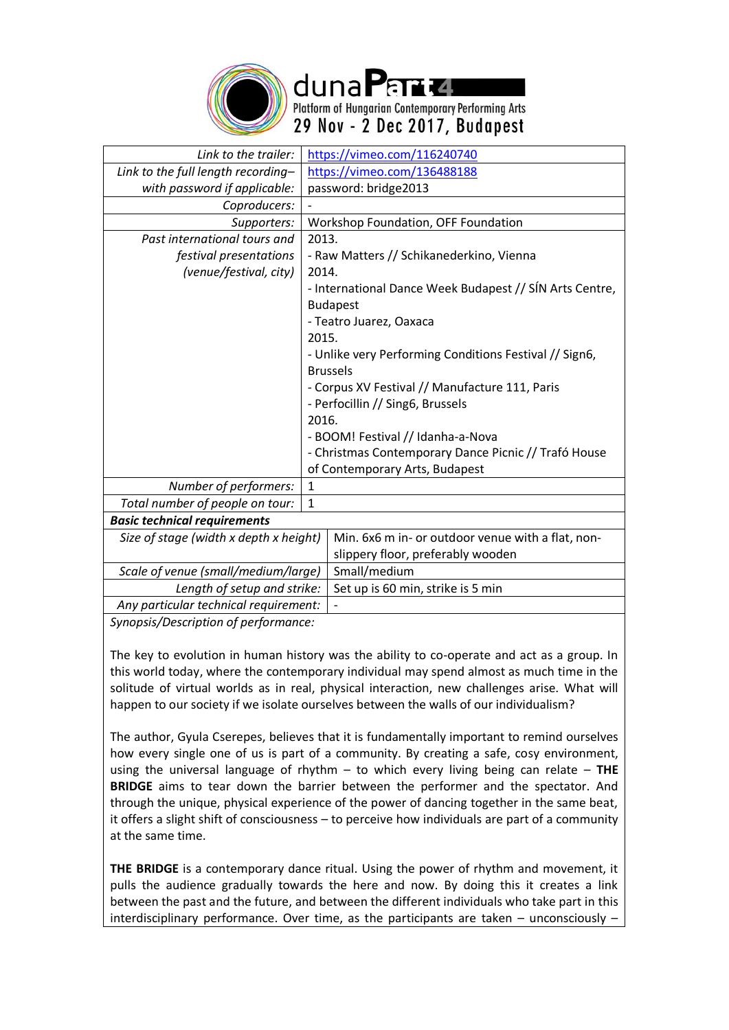

duna Parta Platform of Hungarian Contemporary Performing Arts 29 Nov - 2 Dec 2017, Budapest

| Link to the trailer:                   |                                          | https://vimeo.com/116240740                             |  |
|----------------------------------------|------------------------------------------|---------------------------------------------------------|--|
| Link to the full length recording-     |                                          | https://vimeo.com/136488188                             |  |
| with password if applicable:           |                                          | password: bridge2013                                    |  |
| Coproducers:                           |                                          |                                                         |  |
| Supporters:                            | Workshop Foundation, OFF Foundation      |                                                         |  |
| Past international tours and           | 2013.                                    |                                                         |  |
| festival presentations                 | - Raw Matters // Schikanederkino, Vienna |                                                         |  |
| (venue/festival, city)                 | 2014.                                    |                                                         |  |
|                                        |                                          | - International Dance Week Budapest // SÍN Arts Centre, |  |
|                                        | <b>Budapest</b>                          |                                                         |  |
|                                        |                                          | - Teatro Juarez, Oaxaca                                 |  |
|                                        | 2015.                                    |                                                         |  |
|                                        |                                          | - Unlike very Performing Conditions Festival // Sign6,  |  |
|                                        | <b>Brussels</b>                          |                                                         |  |
|                                        |                                          | - Corpus XV Festival // Manufacture 111, Paris          |  |
|                                        |                                          | - Perfocillin // Sing6, Brussels                        |  |
|                                        | 2016.                                    |                                                         |  |
|                                        |                                          | - BOOM! Festival // Idanha-a-Nova                       |  |
|                                        |                                          | - Christmas Contemporary Dance Picnic // Trafó House    |  |
|                                        |                                          | of Contemporary Arts, Budapest                          |  |
| Number of performers:                  | 1                                        |                                                         |  |
| Total number of people on tour:        | $\mathbf{1}$                             |                                                         |  |
| <b>Basic technical requirements</b>    |                                          |                                                         |  |
| Size of stage (width x depth x height) |                                          | Min. 6x6 m in- or outdoor venue with a flat, non-       |  |
|                                        |                                          | slippery floor, preferably wooden                       |  |
| Scale of venue (small/medium/large)    |                                          | Small/medium                                            |  |
| Length of setup and strike:            |                                          | Set up is 60 min, strike is 5 min                       |  |
| Any particular technical requirement:  |                                          |                                                         |  |
| Synonsis/Description of nerformance:   |                                          |                                                         |  |

*Synopsis/Description of performance:*

The key to evolution in human history was the ability to co-operate and act as a group. In this world today, where the contemporary individual may spend almost as much time in the solitude of virtual worlds as in real, physical interaction, new challenges arise. What will happen to our society if we isolate ourselves between the walls of our individualism?

The author, Gyula Cserepes, believes that it is fundamentally important to remind ourselves how every single one of us is part of a community. By creating a safe, cosy environment, using the universal language of rhythm – to which every living being can relate – **THE BRIDGE** aims to tear down the barrier between the performer and the spectator. And through the unique, physical experience of the power of dancing together in the same beat, it offers a slight shift of consciousness – to perceive how individuals are part of a community at the same time.

**THE BRIDGE** is a contemporary dance ritual. Using the power of rhythm and movement, it pulls the audience gradually towards the here and now. By doing this it creates a link between the past and the future, and between the different individuals who take part in this interdisciplinary performance. Over time, as the participants are taken – unconsciously –